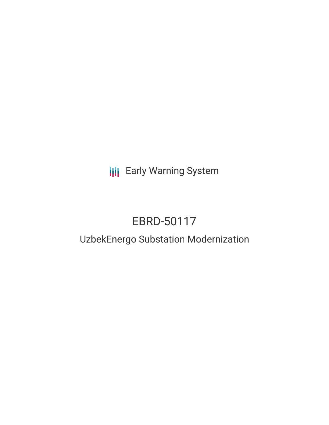**III** Early Warning System

# EBRD-50117

## UzbekEnergo Substation Modernization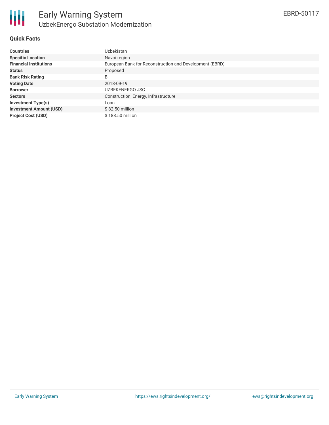#### **Quick Facts**

| <b>Countries</b>               | Uzbekistan                                              |
|--------------------------------|---------------------------------------------------------|
| <b>Specific Location</b>       | Navoi region                                            |
| <b>Financial Institutions</b>  | European Bank for Reconstruction and Development (EBRD) |
| <b>Status</b>                  | Proposed                                                |
| <b>Bank Risk Rating</b>        | B                                                       |
| <b>Voting Date</b>             | 2018-09-19                                              |
| <b>Borrower</b>                | UZBEKENERGO JSC                                         |
| <b>Sectors</b>                 | Construction, Energy, Infrastructure                    |
| <b>Investment Type(s)</b>      | Loan                                                    |
| <b>Investment Amount (USD)</b> | $$82.50$ million                                        |
| <b>Project Cost (USD)</b>      | \$183.50 million                                        |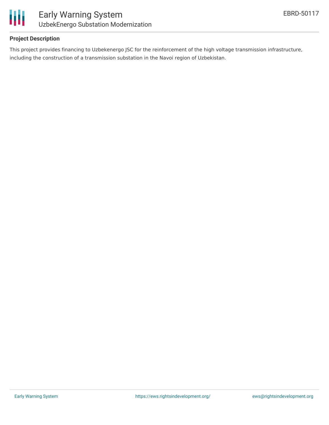

#### **Project Description**

This project provides financing to Uzbekenergo JSC for the reinforcement of the high voltage transmission infrastructure, including the construction of a transmission substation in the Navoi region of Uzbekistan.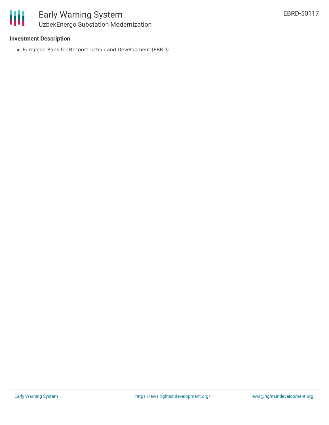#### **Investment Description**

European Bank for Reconstruction and Development (EBRD)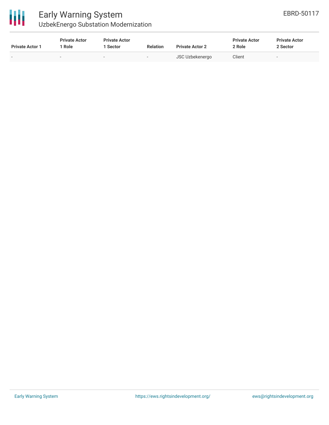

### Early Warning System UzbekEnergo Substation Modernization

| <b>Private Actor 1</b>   | <b>Private Actor</b><br>1 Role | <b>Private Actor</b><br>1 Sector | <b>Relation</b>          | <b>Private Actor 2</b> | <b>Private Actor</b><br>2 Role | <b>Private Actor</b><br>2 Sector |
|--------------------------|--------------------------------|----------------------------------|--------------------------|------------------------|--------------------------------|----------------------------------|
| $\overline{\phantom{0}}$ | $\,$                           | $\overline{\phantom{0}}$         | $\overline{\phantom{0}}$ | <b>JSC Uzbekenergo</b> | Client                         | $\overline{\phantom{a}}$         |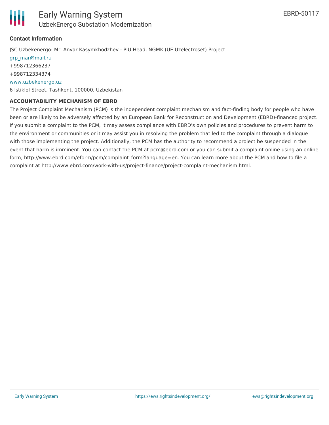

#### **Contact Information**

JSC Uzbekenergo: Mr. Anvar Kasymkhodzhev - PIU Head, NGMK (UE Uzelectroset) Project [grp\\_mar@mail.ru](mailto:grp_mar@mail.ru) +998712366237 +998712334374 [www.uzbekenergo.uz](http://www.uzbekenergo.uz/)

6 Istiklol Street, Tashkent, 100000, Uzbekistan

#### **ACCOUNTABILITY MECHANISM OF EBRD**

The Project Complaint Mechanism (PCM) is the independent complaint mechanism and fact-finding body for people who have been or are likely to be adversely affected by an European Bank for Reconstruction and Development (EBRD)-financed project. If you submit a complaint to the PCM, it may assess compliance with EBRD's own policies and procedures to prevent harm to the environment or communities or it may assist you in resolving the problem that led to the complaint through a dialogue with those implementing the project. Additionally, the PCM has the authority to recommend a project be suspended in the event that harm is imminent. You can contact the PCM at pcm@ebrd.com or you can submit a complaint online using an online form, http://www.ebrd.com/eform/pcm/complaint\_form?language=en. You can learn more about the PCM and how to file a complaint at http://www.ebrd.com/work-with-us/project-finance/project-complaint-mechanism.html.